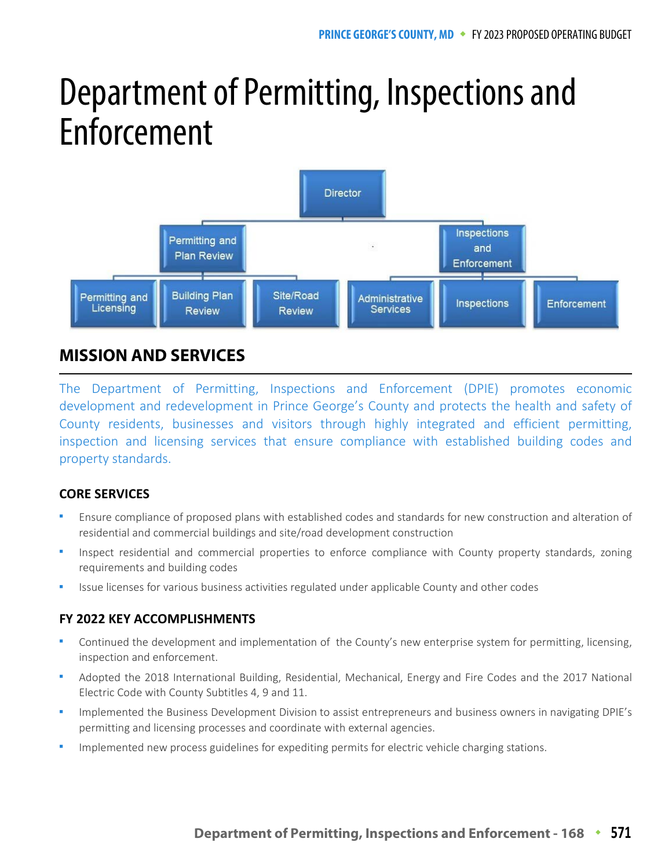# Department of Permitting, Inspections and Enforcement



# **MISSION AND SERVICES**

The Department of Permitting, Inspections and Enforcement (DPIE) promotes economic development and redevelopment in Prince George's County and protects the health and safety of County residents, businesses and visitors through highly integrated and efficient permitting, inspection and licensing services that ensure compliance with established building codes and property standards.

# **CORE SERVICES**

- Ensure compliance of proposed plans with established codes and standards for new construction and alteration of residential and commercial buildings and site/road development construction
- Inspect residential and commercial properties to enforce compliance with County property standards, zoning requirements and building codes
- Issue licenses for various business activities regulated under applicable County and other codes

# **FY 2022 KEY ACCOMPLISHMENTS**

- Continued the development and implementation of the County's new enterprise system for permitting, licensing, inspection and enforcement.
- Adopted the 2018 International Building, Residential, Mechanical, Energy and Fire Codes and the 2017 National Electric Code with County Subtitles 4, 9 and 11.
- Implemented the Business Development Division to assist entrepreneurs and business owners in navigating DPIE's permitting and licensing processes and coordinate with external agencies.
- Implemented new process guidelines for expediting permits for electric vehicle charging stations.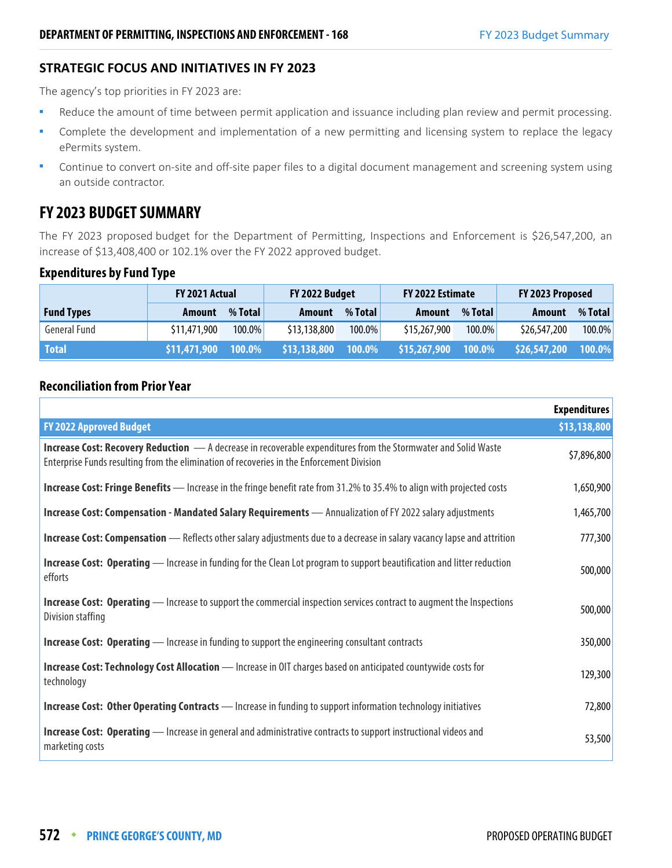#### **STRATEGIC FOCUS AND INITIATIVES IN FY 2023**

The agency's top priorities in FY 2023 are:

- Reduce the amount of time between permit application and issuance including plan review and permit processing.
- Complete the development and implementation of a new permitting and licensing system to replace the legacy ePermits system.
- **Continue to convert on-site and off-site paper files to a digital document management and screening system using** an outside contractor.

# **FY 2023 BUDGET SUMMARY**

The FY 2023 proposed budget for the Department of Permitting, Inspections and Enforcement is \$26,547,200, an increase of \$13,408,400 or 102.1% over the FY 2022 approved budget.

#### **Expenditures by Fund Type**

|                   | <b>FY 2021 Actual</b> |         | FY 2022 Budget |         | FY 2022 Estimate |           | FY 2023 Proposed |         |
|-------------------|-----------------------|---------|----------------|---------|------------------|-----------|------------------|---------|
| <b>Fund Types</b> | Amount                | % Total | Amount         | % Total | Amount           | % Total   | Amount           | % Total |
| General Fund      | \$11,471,900          | 100.0%  | \$13,138,800   | 100.0%  | \$15,267,900     | $100.0\%$ | \$26,547,200     | 100.0%  |
| <b>Total</b>      | \$11,471,900          | 100.0%  | \$13,138,800   | 100.0%  | \$15,267,900     | $100.0\%$ | \$26,547,200     | 100.0%  |

## **Reconciliation from Prior Year**

|                                                                                                                                                                                                                    | <b>Expenditures</b> |
|--------------------------------------------------------------------------------------------------------------------------------------------------------------------------------------------------------------------|---------------------|
| <b>FY 2022 Approved Budget</b>                                                                                                                                                                                     | \$13,138,800        |
| <b>Increase Cost: Recovery Reduction</b> - A decrease in recoverable expenditures from the Stormwater and Solid Waste<br>Enterprise Funds resulting from the elimination of recoveries in the Enforcement Division | \$7,896,800         |
| <b>Increase Cost: Fringe Benefits</b> — Increase in the fringe benefit rate from 31.2% to 35.4% to align with projected costs                                                                                      | 1,650,900           |
| Increase Cost: Compensation - Mandated Salary Requirements - Annualization of FY 2022 salary adjustments                                                                                                           | 1,465,700           |
| <b>Increase Cost: Compensation</b> - Reflects other salary adjustments due to a decrease in salary vacancy lapse and attrition                                                                                     | 777,300             |
| <b>Increase Cost: Operating</b> — Increase in funding for the Clean Lot program to support beautification and litter reduction<br>efforts                                                                          | 500,000             |
| <b>Increase Cost: Operating</b> — Increase to support the commercial inspection services contract to augment the Inspections<br>Division staffing                                                                  | 500,000             |
| <b>Increase Cost: Operating</b> — Increase in funding to support the engineering consultant contracts                                                                                                              | 350,000             |
| Increase Cost: Technology Cost Allocation - Increase in OIT charges based on anticipated countywide costs for<br>technology                                                                                        | 129,300             |
| <b>Increase Cost: Other Operating Contracts</b> - Increase in funding to support information technology initiatives                                                                                                | 72,800              |
| <b>Increase Cost: Operating</b> - Increase in general and administrative contracts to support instructional videos and<br>marketing costs                                                                          | 53,500              |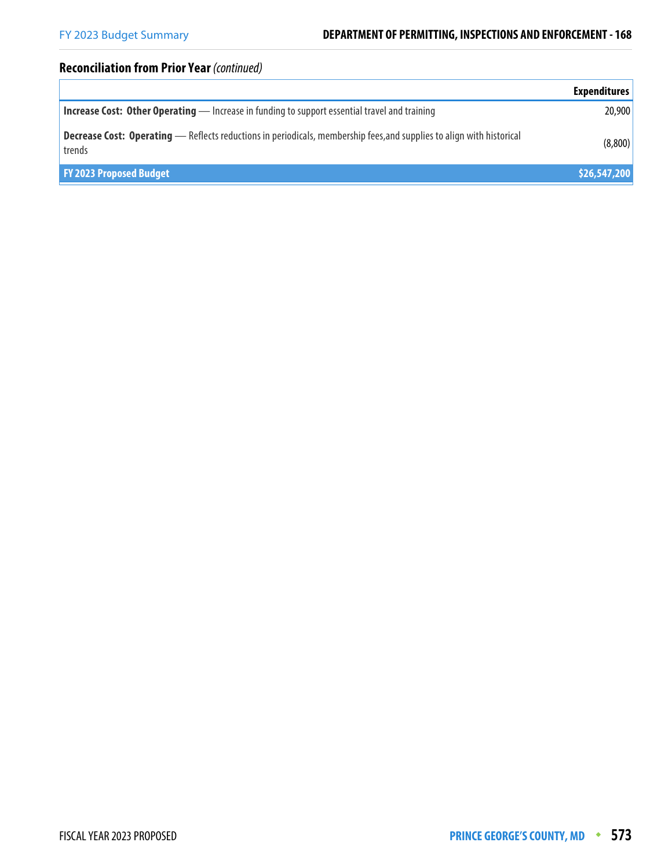# **Reconciliation from Prior Year** (continued)

|                                                                                                                                        | <b>Expenditures</b> |
|----------------------------------------------------------------------------------------------------------------------------------------|---------------------|
| <b>Increase Cost: Other Operating</b> - Increase in funding to support essential travel and training                                   | 20,900              |
| <b>Decrease Cost: Operating</b> - Reflects reductions in periodicals, membership fees, and supplies to align with historical<br>trends | (8,800)             |
| <b>FY 2023 Proposed Budget</b>                                                                                                         | \$26,547,200        |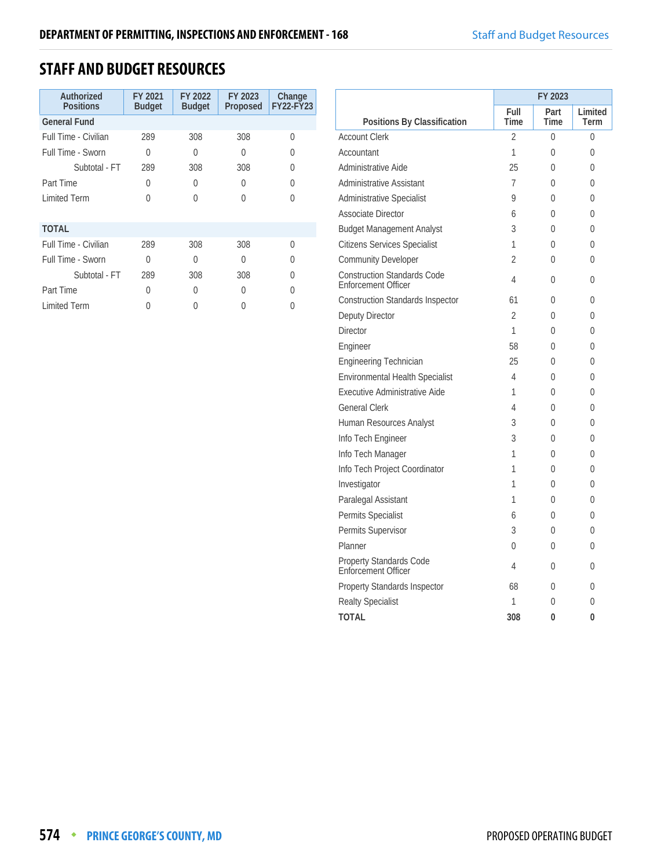# **STAFF AND BUDGET RESOURCES**

| Authorized<br><b>Positions</b> | FY 2021<br><b>Budget</b> | FY 2022<br><b>Budget</b> | FY 2023<br>Proposed | Change<br><b>FY22-FY23</b> |
|--------------------------------|--------------------------|--------------------------|---------------------|----------------------------|
| <b>General Fund</b>            |                          |                          |                     |                            |
| Full Time - Civilian           | 289                      | 308                      | 308                 | U                          |
| Full Time - Sworn              | 0                        | O                        | 0                   | U                          |
| Subtotal - FT                  | 289                      | 308                      | 308                 | 0                          |
| Part Time                      | 0                        | O                        | 0                   | U                          |
| <b>Limited Term</b>            | U                        | Λ                        | U                   | Λ                          |
|                                |                          |                          |                     |                            |
| <b>TOTAL</b>                   |                          |                          |                     |                            |
| Full Time - Civilian           | 289                      | 308                      | 308                 | 0                          |
| Full Time - Sworn              | U                        | U                        | O                   | O                          |
| Subtotal - FT                  | 289                      | 308                      | 308                 | U                          |
| Part Time                      | 0                        | O                        | $\Omega$            | O                          |
| <b>Limited Term</b>            |                          |                          |                     |                            |

|                                                                  |                | FY 2023      |                 |
|------------------------------------------------------------------|----------------|--------------|-----------------|
| Positions By Classification                                      | Full<br>Time   | Part<br>Time | Limited<br>Term |
| <b>Account Clerk</b>                                             | $\overline{2}$ | 0            | 0               |
| Accountant                                                       | 1              | $\Omega$     | 0               |
| Administrative Aide                                              | 25             | U            | U               |
| <b>Administrative Assistant</b>                                  | 7              | 0            | 0               |
| <b>Administrative Specialist</b>                                 | 9              | $\Omega$     | 0               |
| <b>Associate Director</b>                                        | 6              | $\Omega$     | 0               |
| <b>Budget Management Analyst</b>                                 | 3              | $\Omega$     | 0               |
| <b>Citizens Services Specialist</b>                              | 1              | 0            | $\Omega$        |
| <b>Community Developer</b>                                       | 2              | 0            | 0               |
| <b>Construction Standards Code</b><br><b>Enforcement Officer</b> | 4              | $\Omega$     | 0               |
| <b>Construction Standards Inspector</b>                          | 61             | $\Omega$     | 0               |
| Deputy Director                                                  | 2              | 0            | 0               |
| Director                                                         | 1              | 0            | 0               |
| Engineer                                                         | 58             | $\Omega$     | 0               |
| Engineering Technician                                           | 25             | 0            | 0               |
| <b>Environmental Health Specialist</b>                           | 4              | 0            | 0               |
| Executive Administrative Aide                                    | 1              | $\Omega$     | 0               |
| <b>General Clerk</b>                                             | 4              | $\Omega$     | 0               |
| Human Resources Analyst                                          | 3              | 0            | $\Omega$        |
| Info Tech Engineer                                               | 3              | $\Omega$     | 0               |
| Info Tech Manager                                                | 1              | 0            | 0               |
| Info Tech Project Coordinator                                    | 1              | $\Omega$     | 0               |
| Investigator                                                     | 1              | 0            | 0               |
| Paralegal Assistant                                              | 1              | $\Omega$     | 0               |
| Permits Specialist                                               | 6              | $\Omega$     | 0               |
| Permits Supervisor                                               | 3              | $\Omega$     | 0               |
| Planner                                                          | 0              | 0            | 0               |
| Property Standards Code<br>Enforcement Officer                   | 4              | $\Omega$     | 0               |
| Property Standards Inspector                                     | 68             | $\Omega$     | 0               |
| <b>Realty Specialist</b>                                         | 1              | $\Omega$     | 0               |
| ΤΟΤΑΙ                                                            | 308            | 0            | 0               |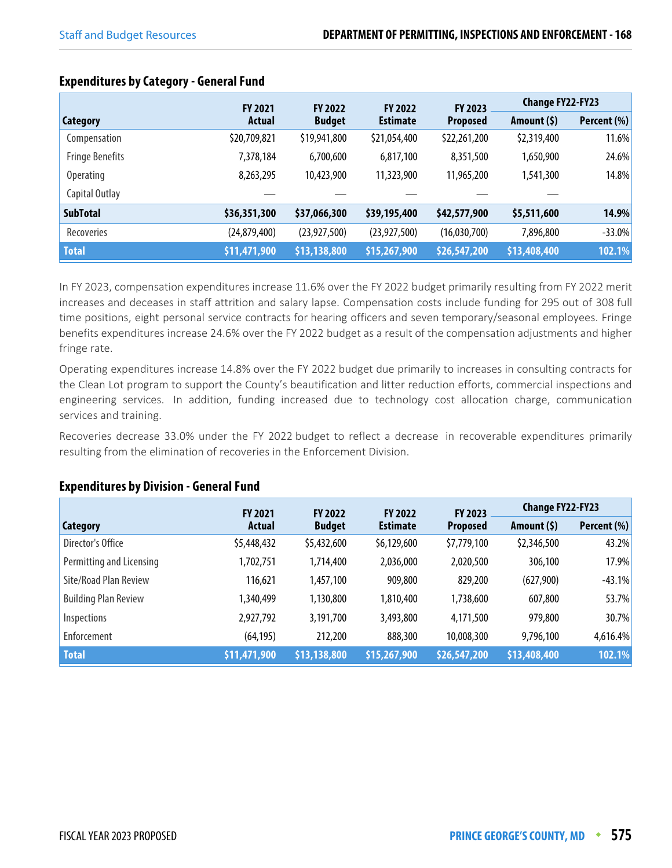|                        | <b>FY 2021</b> | <b>FY 2022</b> | <b>FY 2022</b>  | FY 2023         | <b>Change FY22-FY23</b> |             |
|------------------------|----------------|----------------|-----------------|-----------------|-------------------------|-------------|
| <b>Category</b>        | Actual         | <b>Budget</b>  | <b>Estimate</b> | <b>Proposed</b> | Amount $(5)$            | Percent (%) |
| Compensation           | \$20,709,821   | \$19,941,800   | \$21,054,400    | \$22,261,200    | \$2,319,400             | 11.6%       |
| <b>Fringe Benefits</b> | 7,378,184      | 6,700,600      | 6,817,100       | 8,351,500       | 1,650,900               | 24.6%       |
| <b>Operating</b>       | 8,263,295      | 10,423,900     | 11,323,900      | 11,965,200      | 1,541,300               | 14.8%       |
| Capital Outlay         |                |                |                 |                 |                         |             |
| <b>SubTotal</b>        | \$36,351,300   | \$37,066,300   | \$39,195,400    | \$42,577,900    | \$5,511,600             | 14.9%       |
| Recoveries             | (24,879,400)   | (23, 927, 500) | (23, 927, 500)  | (16,030,700)    | 7,896,800               | $-33.0%$    |
| <b>Total</b>           | \$11,471,900   | \$13,138,800   | \$15,267,900    | \$26,547,200    | \$13,408,400            | 102.1%      |

## **Expenditures by Category - General Fund**

In FY 2023, compensation expenditures increase 11.6% over the FY 2022 budget primarily resulting from FY 2022 merit increases and deceases in staff attrition and salary lapse. Compensation costs include funding for 295 out of 308 full time positions, eight personal service contracts for hearing officers and seven temporary/seasonal employees. Fringe benefits expenditures increase 24.6% over the FY 2022 budget as a result of the compensation adjustments and higher fringe rate.

Operating expenditures increase 14.8% over the FY 2022 budget due primarily to increases in consulting contracts for the Clean Lot program to support the County's beautification and litter reduction efforts, commercial inspections and engineering services. In addition, funding increased due to technology cost allocation charge, communication services and training.

Recoveries decrease 33.0% under the FY 2022 budget to reflect a decrease in recoverable expenditures primarily resulting from the elimination of recoveries in the Enforcement Division.

## **Expenditures by Division - General Fund**

|                             | <b>FY 2021</b> | <b>FY 2022</b> | <b>FY 2022</b>  | FY 2023      | <b>Change FY22-FY23</b> |             |
|-----------------------------|----------------|----------------|-----------------|--------------|-------------------------|-------------|
| <b>Category</b>             | <b>Actual</b>  | <b>Budget</b>  | <b>Estimate</b> |              | Amount $(5)$            | Percent (%) |
| Director's Office           | \$5,448,432    | \$5,432,600    | \$6,129,600     | \$7,779,100  | \$2,346,500             | 43.2%       |
| Permitting and Licensing    | 1,702,751      | 1,714,400      | 2,036,000       | 2,020,500    | 306,100                 | 17.9%       |
| Site/Road Plan Review       | 116,621        | 1,457,100      | 909,800         | 829,200      | (627,900)               | $-43.1%$    |
| <b>Building Plan Review</b> | 1,340,499      | 1,130,800      | 1,810,400       | 1,738,600    | 607,800                 | 53.7%       |
| Inspections                 | 2,927,792      | 3,191,700      | 3,493,800       | 4,171,500    | 979,800                 | 30.7%       |
| Enforcement                 | (64, 195)      | 212,200        | 888,300         | 10,008,300   | 9,796,100               | 4,616.4%    |
| <b>Total</b>                | \$11,471,900   | \$13,138,800   | \$15,267,900    | \$26,547,200 | \$13,408,400            | 102.1%      |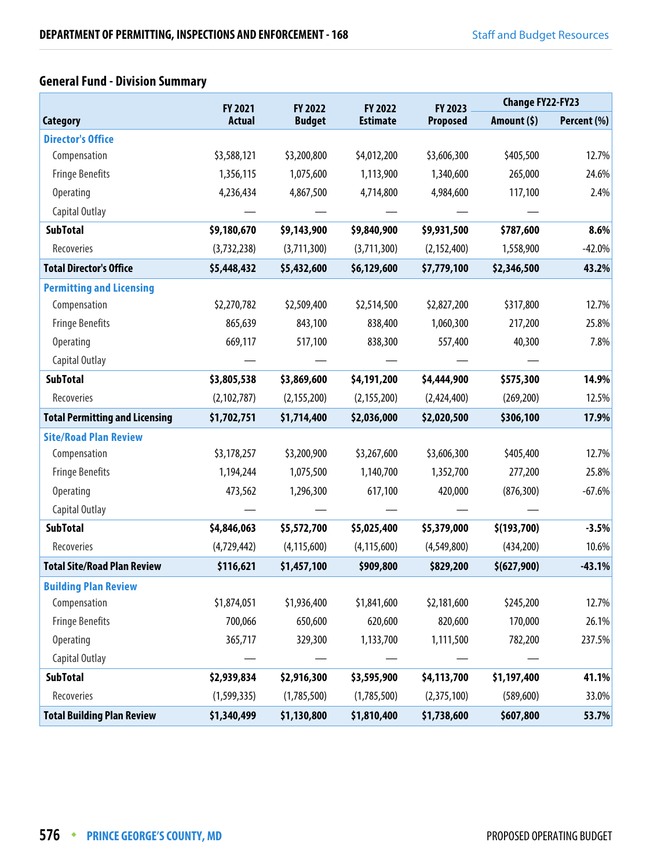# **General Fund - Division Summary**

|                                       | FY 2021       | FY 2022<br>FY 2022 |                 | FY 2023         | <b>Change FY22-FY23</b> |             |
|---------------------------------------|---------------|--------------------|-----------------|-----------------|-------------------------|-------------|
| <b>Category</b>                       | <b>Actual</b> | <b>Budget</b>      | <b>Estimate</b> | <b>Proposed</b> | Amount $(5)$            | Percent (%) |
| <b>Director's Office</b>              |               |                    |                 |                 |                         |             |
| Compensation                          | \$3,588,121   | \$3,200,800        | \$4,012,200     | \$3,606,300     | \$405,500               | 12.7%       |
| <b>Fringe Benefits</b>                | 1,356,115     | 1,075,600          | 1,113,900       | 1,340,600       | 265,000                 | 24.6%       |
| <b>Operating</b>                      | 4,236,434     | 4,867,500          | 4,714,800       | 4,984,600       | 117,100                 | 2.4%        |
| Capital Outlay                        |               |                    |                 |                 |                         |             |
| <b>SubTotal</b>                       | \$9,180,670   | \$9,143,900        | \$9,840,900     | \$9,931,500     | \$787,600               | 8.6%        |
| Recoveries                            | (3,732,238)   | (3,711,300)        | (3,711,300)     | (2, 152, 400)   | 1,558,900               | $-42.0%$    |
| <b>Total Director's Office</b>        | \$5,448,432   | \$5,432,600        | \$6,129,600     | \$7,779,100     | \$2,346,500             | 43.2%       |
| <b>Permitting and Licensing</b>       |               |                    |                 |                 |                         |             |
| Compensation                          | \$2,270,782   | \$2,509,400        | \$2,514,500     | \$2,827,200     | \$317,800               | 12.7%       |
| <b>Fringe Benefits</b>                | 865,639       | 843,100            | 838,400         | 1,060,300       | 217,200                 | 25.8%       |
| <b>Operating</b>                      | 669,117       | 517,100            | 838,300         | 557,400         | 40,300                  | 7.8%        |
| Capital Outlay                        |               |                    |                 |                 |                         |             |
| <b>SubTotal</b>                       | \$3,805,538   | \$3,869,600        | \$4,191,200     | \$4,444,900     | \$575,300               | 14.9%       |
| Recoveries                            | (2, 102, 787) | (2, 155, 200)      | (2, 155, 200)   | (2,424,400)     | (269, 200)              | 12.5%       |
| <b>Total Permitting and Licensing</b> | \$1,702,751   | \$1,714,400        | \$2,036,000     | \$2,020,500     | \$306,100               | 17.9%       |
| <b>Site/Road Plan Review</b>          |               |                    |                 |                 |                         |             |
| Compensation                          | \$3,178,257   | \$3,200,900        | \$3,267,600     | \$3,606,300     | \$405,400               | 12.7%       |
| <b>Fringe Benefits</b>                | 1,194,244     | 1,075,500          | 1,140,700       | 1,352,700       | 277,200                 | 25.8%       |
| <b>Operating</b>                      | 473,562       | 1,296,300          | 617,100         | 420,000         | (876, 300)              | $-67.6%$    |
| Capital Outlay                        |               |                    |                 |                 |                         |             |
| <b>SubTotal</b>                       | \$4,846,063   | \$5,572,700        | \$5,025,400     | \$5,379,000     | \$(193,700)             | $-3.5%$     |
| Recoveries                            | (4,729,442)   | (4, 115, 600)      | (4, 115, 600)   | (4,549,800)     | (434,200)               | 10.6%       |
| <b>Total Site/Road Plan Review</b>    | \$116,621     | \$1,457,100        | \$909,800       | \$829,200       | \$(627,900)             | $-43.1%$    |
| <b>Building Plan Review</b>           |               |                    |                 |                 |                         |             |
| Compensation                          | \$1,874,051   | \$1,936,400        | \$1,841,600     | \$2,181,600     | \$245,200               | 12.7%       |
| <b>Fringe Benefits</b>                | 700,066       | 650,600            | 620,600         | 820,600         | 170,000                 | 26.1%       |
| Operating                             | 365,717       | 329,300            | 1,133,700       | 1,111,500       | 782,200                 | 237.5%      |
| Capital Outlay                        |               |                    |                 |                 |                         |             |
| <b>SubTotal</b>                       | \$2,939,834   | \$2,916,300        | \$3,595,900     | \$4,113,700     | \$1,197,400             | 41.1%       |
| Recoveries                            | (1, 599, 335) | (1,785,500)        | (1,785,500)     | (2,375,100)     | (589, 600)              | 33.0%       |
| <b>Total Building Plan Review</b>     | \$1,340,499   | \$1,130,800        | \$1,810,400     | \$1,738,600     | \$607,800               | 53.7%       |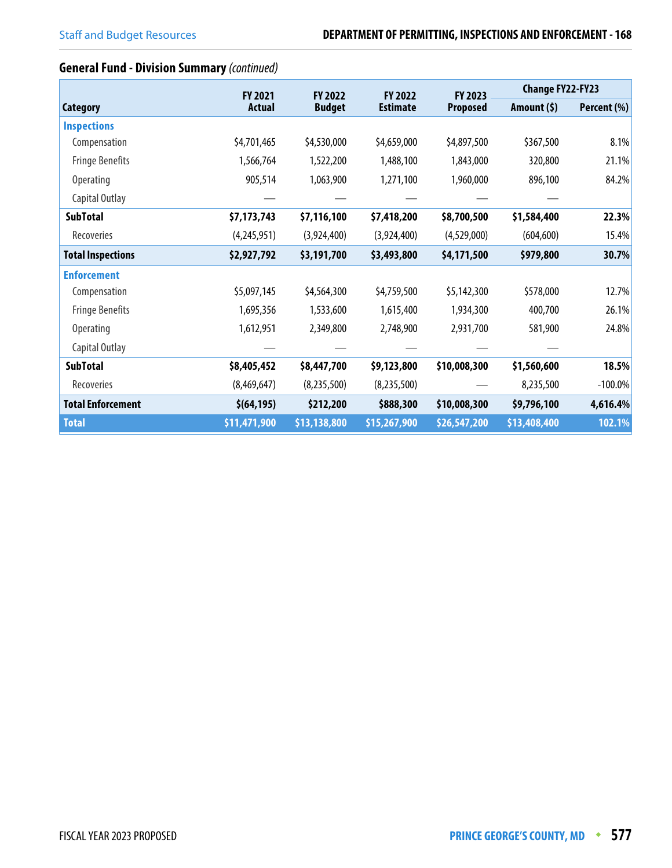# **General Fund - Division Summary** (continued)

|                          | <b>FY 2021</b> | <b>FY 2022</b> | <b>FY 2022</b>  | FY 2023         | <b>Change FY22-FY23</b> |             |
|--------------------------|----------------|----------------|-----------------|-----------------|-------------------------|-------------|
| Category                 | <b>Actual</b>  | <b>Budget</b>  | <b>Estimate</b> | <b>Proposed</b> | Amount $(5)$            | Percent (%) |
| <b>Inspections</b>       |                |                |                 |                 |                         |             |
| Compensation             | \$4,701,465    | \$4,530,000    | \$4,659,000     | \$4,897,500     | \$367,500               | 8.1%        |
| <b>Fringe Benefits</b>   | 1,566,764      | 1,522,200      | 1,488,100       | 1,843,000       | 320,800                 | 21.1%       |
| <b>Operating</b>         | 905,514        | 1,063,900      | 1,271,100       | 1,960,000       | 896,100                 | 84.2%       |
| Capital Outlay           |                |                |                 |                 |                         |             |
| <b>SubTotal</b>          | \$7,173,743    | \$7,116,100    | \$7,418,200     | \$8,700,500     | \$1,584,400             | 22.3%       |
| Recoveries               | (4,245,951)    | (3,924,400)    | (3,924,400)     | (4,529,000)     | (604, 600)              | 15.4%       |
| <b>Total Inspections</b> | \$2,927,792    | \$3,191,700    | \$3,493,800     | \$4,171,500     | \$979,800               | 30.7%       |
| <b>Enforcement</b>       |                |                |                 |                 |                         |             |
| Compensation             | \$5,097,145    | \$4,564,300    | \$4,759,500     | \$5,142,300     | \$578,000               | 12.7%       |
| <b>Fringe Benefits</b>   | 1,695,356      | 1,533,600      | 1,615,400       | 1,934,300       | 400,700                 | 26.1%       |
| <b>Operating</b>         | 1,612,951      | 2,349,800      | 2,748,900       | 2,931,700       | 581,900                 | 24.8%       |
| Capital Outlay           |                |                |                 |                 |                         |             |
| <b>SubTotal</b>          | \$8,405,452    | \$8,447,700    | \$9,123,800     | \$10,008,300    | \$1,560,600             | 18.5%       |
| Recoveries               | (8,469,647)    | (8,235,500)    | (8,235,500)     |                 | 8,235,500               | $-100.0\%$  |
| <b>Total Enforcement</b> | \$ (64, 195)   | \$212,200      | \$888,300       | \$10,008,300    | \$9,796,100             | 4,616.4%    |
| <b>Total</b>             | \$11,471,900   | \$13,138,800   | \$15,267,900    | \$26,547,200    | \$13,408,400            | 102.1%      |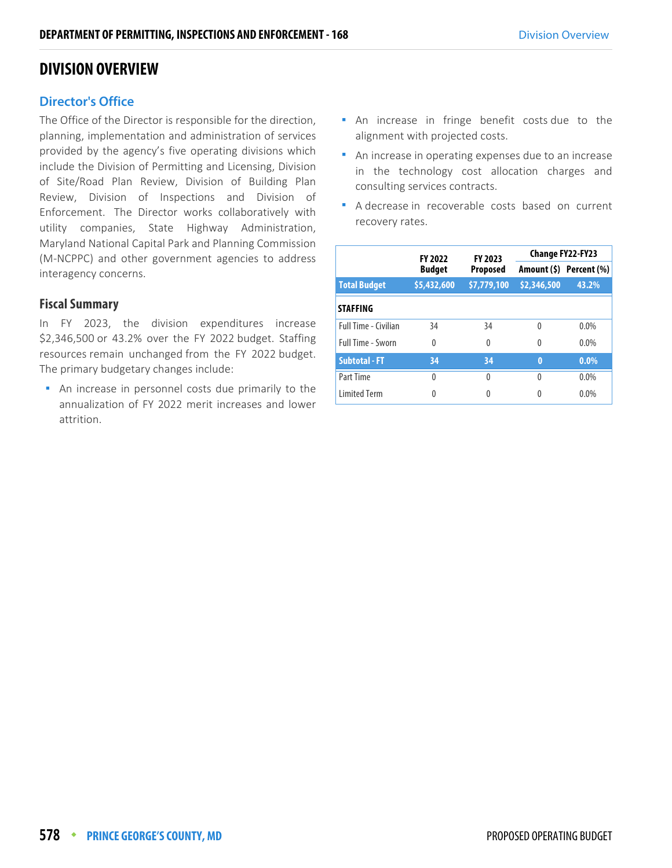# **DIVISION OVERVIEW**

## **Director's Office**

The Office of the Director is responsible for the direction, planning, implementation and administration of services provided by the agency's five operating divisions which include the Division of Permitting and Licensing, Division of Site/Road Plan Review, Division of Building Plan Review, Division of Inspections and Division of Enforcement. The Director works collaboratively with utility companies, State Highway Administration, Maryland National Capital Park and Planning Commission (M-NCPPC) and other government agencies to address interagency concerns.

#### **Fiscal Summary**

In FY 2023, the division expenditures increase \$2,346,500 or 43.2% over the FY 2022 budget. Staffing resources remain unchanged from the FY 2022 budget. The primary budgetary changes include:

 An increase in personnel costs due primarily to the annualization of FY 2022 merit increases and lower attrition.

- An increase in fringe benefit costs due to the alignment with projected costs.
- An increase in operating expenses due to an increase in the technology cost allocation charges and consulting services contracts.
- A decrease in recoverable costs based on current recovery rates.

|                      | <b>FY 2022</b>                   | FY 2023          | <b>Change FY22-FY23</b> |                         |  |
|----------------------|----------------------------------|------------------|-------------------------|-------------------------|--|
|                      | <b>Budget</b><br><b>Proposed</b> |                  |                         | Amount (\$) Percent (%) |  |
| <b>Total Budget</b>  | \$5,432,600                      | \$7,779,100      | \$2,346,500             | 43.2%                   |  |
| <b>STAFFING</b>      |                                  |                  |                         |                         |  |
| Full Time - Civilian | 34                               | 34               | 0                       | $0.0\%$                 |  |
| Full Time - Sworn    | 0                                | $\theta$         | 0                       | $0.0\%$                 |  |
| <b>Subtotal - FT</b> | 34                               | 34               | $\bf{0}$                | $0.0\%$                 |  |
| Part Time            | 0                                | $\left( \right)$ | 0                       | $0.0\%$                 |  |
| <b>Limited Term</b>  | 0                                | 0                | 0                       | 0.0%                    |  |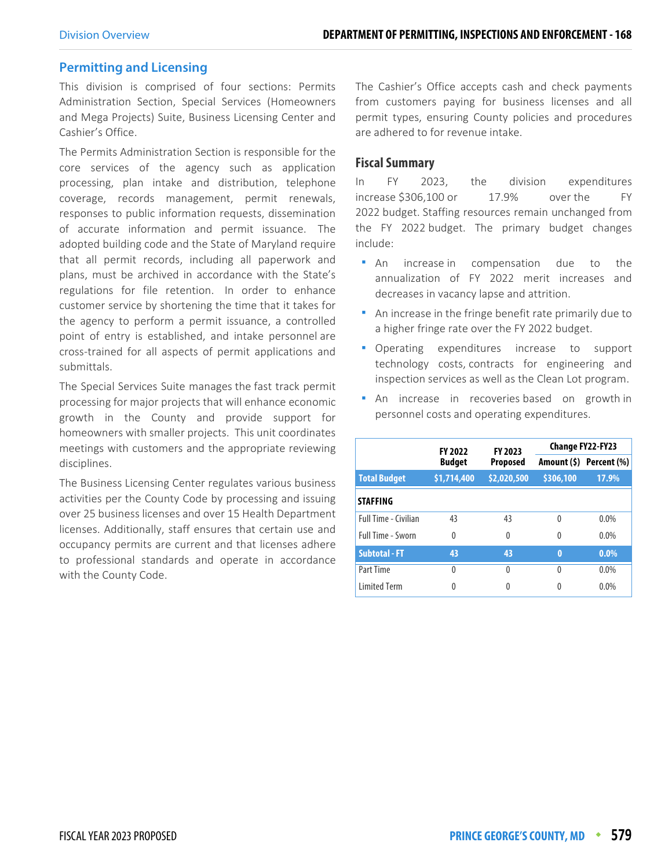#### **Permitting and Licensing**

This division is comprised of four sections: Permits Administration Section, Special Services (Homeowners and Mega Projects) Suite, Business Licensing Center and Cashier's Office.

The Permits Administration Section is responsible for the core services of the agency such as application processing, plan intake and distribution, telephone coverage, records management, permit renewals, responses to public information requests, dissemination of accurate information and permit issuance. The adopted building code and the State of Maryland require that all permit records, including all paperwork and plans, must be archived in accordance with the State's regulations for file retention. In order to enhance customer service by shortening the time that it takes for the agency to perform a permit issuance, a controlled point of entry is established, and intake personnel are cross-trained for all aspects of permit applications and submittals.

The Special Services Suite manages the fast track permit processing for major projects that will enhance economic growth in the County and provide support for homeowners with smaller projects. This unit coordinates meetings with customers and the appropriate reviewing disciplines.

The Business Licensing Center regulates various business activities per the County Code by processing and issuing over 25 business licenses and over 15 Health Department licenses. Additionally, staff ensures that certain use and occupancy permits are current and that licenses adhere to professional standards and operate in accordance with the County Code.

The Cashier's Office accepts cash and check payments from customers paying for business licenses and all permit types, ensuring County policies and procedures are adhered to for revenue intake.

#### **Fiscal Summary**

In FY 2023, the division expenditures increase \$306,100 or 17.9% over the FY 2022 budget. Staffing resources remain unchanged from the FY 2022 budget. The primary budget changes include:

- **An** increase in compensation due to the annualization of FY 2022 merit increases and decreases in vacancy lapse and attrition.
- An increase in the fringe benefit rate primarily due to a higher fringe rate over the FY 2022 budget.
- **•** Operating expenditures increase to support technology costs, contracts for engineering and inspection services as well as the Clean Lot program.
- **An** increase in recoveries based on growth in personnel costs and operating expenditures.

|                             | <b>FY 2022</b>            | <b>FY 2023</b> | <b>Change FY22-FY23</b> |                         |  |
|-----------------------------|---------------------------|----------------|-------------------------|-------------------------|--|
|                             | <b>Budget</b><br>Proposed |                |                         | Amount (\$) Percent (%) |  |
| <b>Total Budget</b>         | \$1,714,400               | \$2,020,500    | \$306,100               | 17.9%                   |  |
| <b>STAFFING</b>             |                           |                |                         |                         |  |
| <b>Full Time - Civilian</b> | 43                        | 43             | 0                       | $0.0\%$                 |  |
| Full Time - Sworn           | $\theta$                  | 0              | 0                       | $0.0\%$                 |  |
| <b>Subtotal - FT</b>        | 43                        | 43             | $\bf{0}$                | $0.0\%$                 |  |
| Part Time                   | $\Omega$                  | 0              | $\Omega$                | 0.0%                    |  |
| <b>Limited Term</b>         | 0                         | 0              | 0                       | 0.0%                    |  |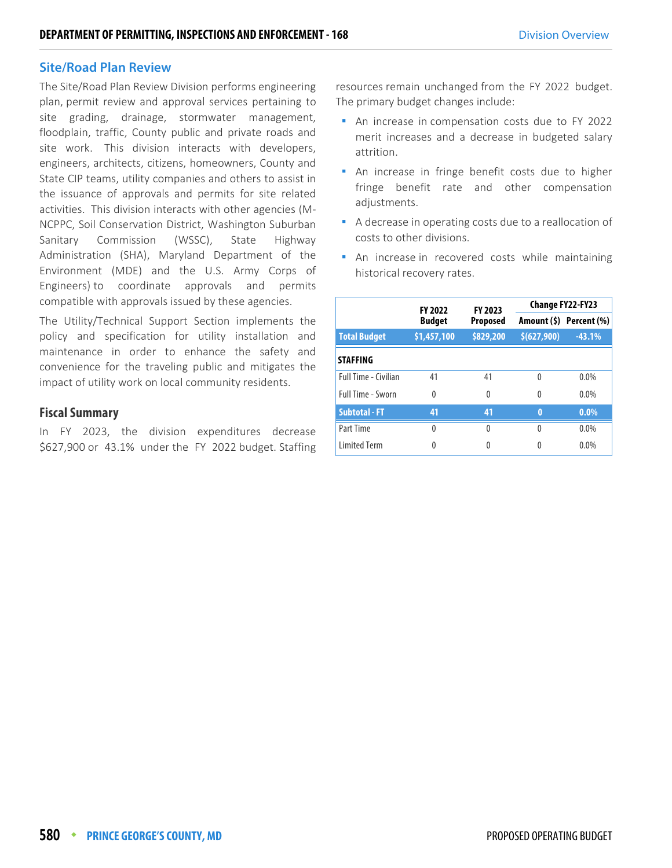#### **Site/Road Plan Review**

The Site/Road Plan Review Division performs engineering plan, permit review and approval services pertaining to site grading, drainage, stormwater management, floodplain, traffic, County public and private roads and site work. This division interacts with developers, engineers, architects, citizens, homeowners, County and State CIP teams, utility companies and others to assist in the issuance of approvals and permits for site related activities. This division interacts with other agencies (M-NCPPC, Soil Conservation District, Washington Suburban Sanitary Commission (WSSC), State Highway Administration (SHA), Maryland Department of the Environment (MDE) and the U.S. Army Corps of Engineers) to coordinate approvals and permits compatible with approvals issued by these agencies.

The Utility/Technical Support Section implements the policy and specification for utility installation and maintenance in order to enhance the safety and convenience for the traveling public and mitigates the impact of utility work on local community residents.

#### **Fiscal Summary**

In FY 2023, the division expenditures decrease \$627,900 or 43.1% under the FY 2022 budget. Staffing resources remain unchanged from the FY 2022 budget. The primary budget changes include:

- An increase in compensation costs due to FY 2022 merit increases and a decrease in budgeted salary attrition.
- **An increase in fringe benefit costs due to higher** fringe benefit rate and other compensation adjustments.
- A decrease in operating costs due to a reallocation of costs to other divisions.
- An increase in recovered costs while maintaining historical recovery rates.

|                             | <b>FY 2022</b>                   | FY 2023   | Change FY22-FY23 |                         |  |
|-----------------------------|----------------------------------|-----------|------------------|-------------------------|--|
|                             | <b>Budget</b><br><b>Proposed</b> |           |                  | Amount (\$) Percent (%) |  |
| <b>Total Budget</b>         | \$1,457,100                      | \$829,200 | \$ (627,900)     | $-43.1%$                |  |
| <b>STAFFING</b>             |                                  |           |                  |                         |  |
| <b>Full Time - Civilian</b> | 41                               | 41        | $\Omega$         | $0.0\%$                 |  |
| <b>Full Time - Sworn</b>    | 0                                | $\Omega$  | 0                | $0.0\%$                 |  |
| <b>Subtotal - FT</b>        | 41                               | 41        | $\bf{0}$         | $0.0\%$                 |  |
| Part Time                   | 0                                | $\Omega$  | $\Omega$         | $0.0\%$                 |  |
| <b>Limited Term</b>         | 0                                | 0         | 0                | 0.0%                    |  |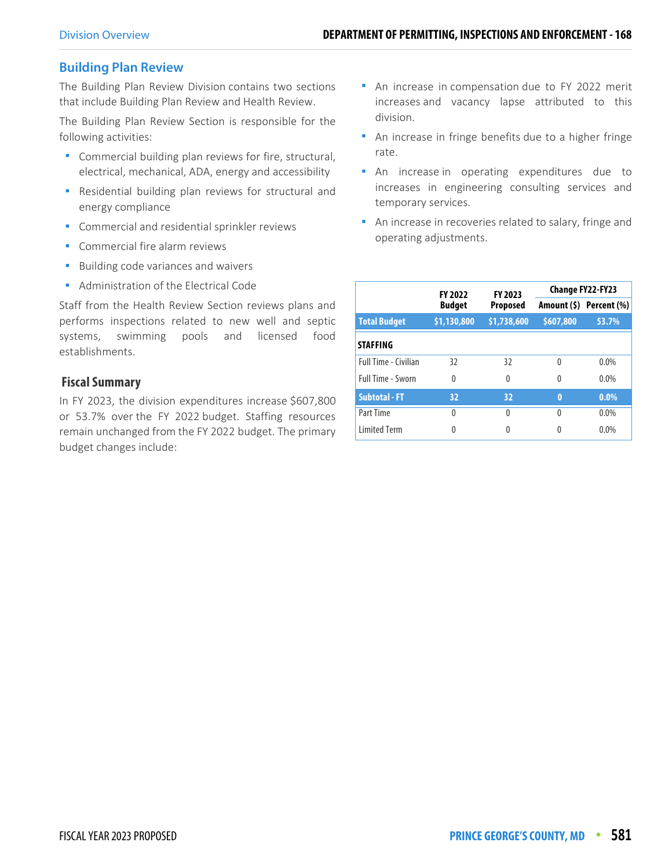## **Building Plan Review**

The Building Plan Review Division contains two sections that include Building Plan Review and Health Review.

The Building Plan Review Section is responsible for the following activities:

- Commercial building plan reviews for fire, structural, electrical, mechanical, ADA, energy and accessibility
- Residential building plan reviews for structural and energy compliance
- **Commercial and residential sprinkler reviews**
- **Commercial fire alarm reviews**
- **Building code variances and waivers**
- **Administration of the Electrical Code**

Staff from the Health Review Section reviews plans and performs inspections related to new well and septic systems, swimming pools and licensed food establishments.

#### **Fiscal Summary**

In FY 2023, the division expenditures increase \$607,800 or 53.7% over the FY 2022 budget. Staffing resources remain unchanged from the FY 2022 budget. The primary budget changes include:

- **An increase in compensation due to FY 2022 merit** increases and vacancy lapse attributed to this division.
- An increase in fringe benefits due to a higher fringe rate.
- An increase in operating expenditures due to increases in engineering consulting services and temporary services.
- **An increase in recoveries related to salary, fringe and** operating adjustments.

|                      | <b>FY 2022</b> | FY 2023         |              | Change FY22-FY23        |  |
|----------------------|----------------|-----------------|--------------|-------------------------|--|
|                      | <b>Budget</b>  | <b>Proposed</b> |              | Amount (\$) Percent (%) |  |
| <b>Total Budget</b>  | \$1,130,800    | \$1,738,600     | \$607,800    | 53.7%                   |  |
| <b>STAFFING</b>      |                |                 |              |                         |  |
| Full Time - Civilian | 32             | 32              | 0            | $0.0\%$                 |  |
| Full Time - Sworn    | 0              | 0               | $\Omega$     | $0.0\%$                 |  |
| <b>Subtotal - FT</b> | 32             | 32              | 0            | $0.0\%$                 |  |
| Part Time            | 0              | 0               | <sup>0</sup> | $0.0\%$                 |  |
| <b>Limited Term</b>  | 0              | 0               |              | $0.0\%$                 |  |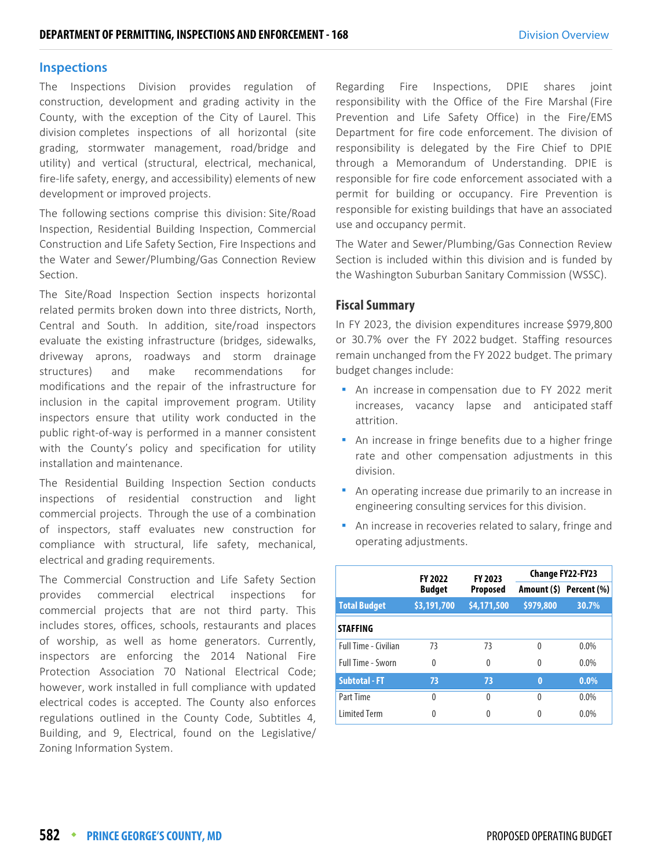#### **Inspections**

The Inspections Division provides regulation of construction, development and grading activity in the County, with the exception of the City of Laurel. This division completes inspections of all horizontal (site grading, stormwater management, road/bridge and utility) and vertical (structural, electrical, mechanical, fire-life safety, energy, and accessibility) elements of new development or improved projects.

The following sections comprise this division: Site/Road Inspection, Residential Building Inspection, Commercial Construction and Life Safety Section, Fire Inspections and the Water and Sewer/Plumbing/Gas Connection Review Section.

The Site/Road Inspection Section inspects horizontal related permits broken down into three districts, North, Central and South. In addition, site/road inspectors evaluate the existing infrastructure (bridges, sidewalks, driveway aprons, roadways and storm drainage structures) and make recommendations for modifications and the repair of the infrastructure for inclusion in the capital improvement program. Utility inspectors ensure that utility work conducted in the public right-of-way is performed in a manner consistent with the County's policy and specification for utility installation and maintenance.

The Residential Building Inspection Section conducts inspections of residential construction and light commercial projects. Through the use of a combination of inspectors, staff evaluates new construction for compliance with structural, life safety, mechanical, electrical and grading requirements.

The Commercial Construction and Life Safety Section provides commercial electrical inspections for commercial projects that are not third party. This includes stores, offices, schools, restaurants and places of worship, as well as home generators. Currently, inspectors are enforcing the 2014 National Fire Protection Association 70 National Electrical Code; however, work installed in full compliance with updated electrical codes is accepted. The County also enforces regulations outlined in the County Code, Subtitles 4, Building, and 9, Electrical, found on the Legislative/ Zoning Information System.

Regarding Fire Inspections, DPIE shares joint responsibility with the Office of the Fire Marshal (Fire Prevention and Life Safety Office) in the Fire/EMS Department for fire code enforcement. The division of responsibility is delegated by the Fire Chief to DPIE through a Memorandum of Understanding. DPIE is responsible for fire code enforcement associated with a permit for building or occupancy. Fire Prevention is responsible for existing buildings that have an associated use and occupancy permit.

The Water and Sewer/Plumbing/Gas Connection Review Section is included within this division and is funded by the Washington Suburban Sanitary Commission (WSSC).

#### **Fiscal Summary**

In FY 2023, the division expenditures increase \$979,800 or 30.7% over the FY 2022 budget. Staffing resources remain unchanged from the FY 2022 budget. The primary budget changes include:

- **An increase in compensation due to FY 2022 merit** increases, vacancy lapse and anticipated staff attrition.
- An increase in fringe benefits due to a higher fringe rate and other compensation adjustments in this division.
- An operating increase due primarily to an increase in engineering consulting services for this division.
- An increase in recoveries related to salary, fringe and operating adjustments.

|                             | <b>FY 2022</b>            | FY 2023     | Change FY22-FY23 |                         |  |  |
|-----------------------------|---------------------------|-------------|------------------|-------------------------|--|--|
|                             | <b>Budget</b><br>Proposed |             |                  | Amount (\$) Percent (%) |  |  |
| <b>Total Budget</b>         | \$3,191,700               | \$4,171,500 | \$979,800        | 30.7%                   |  |  |
| <b>STAFFING</b>             |                           |             |                  |                         |  |  |
| <b>Full Time - Civilian</b> | 73                        | 73          | $\mathbf{0}$     | $0.0\%$                 |  |  |
| Full Time - Sworn           | 0                         | 0           | $\Omega$         | 0.0%                    |  |  |
| <b>Subtotal - FT</b>        | 73                        | 73          | $\bf{0}$         | $0.0\%$                 |  |  |
| Part Time                   | $\Omega$                  | 0           | $\Omega$         | 0.0%                    |  |  |
| <b>Limited Term</b>         | 0                         |             | 0                | 0.0%                    |  |  |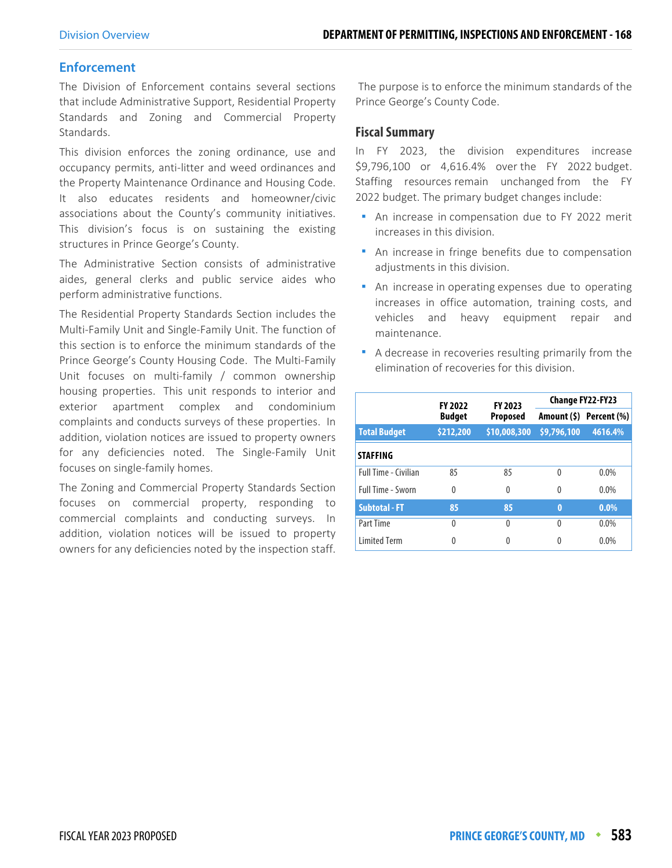#### **Enforcement**

The Division of Enforcement contains several sections that include Administrative Support, Residential Property Standards and Zoning and Commercial Property Standards.

This division enforces the zoning ordinance, use and occupancy permits, anti-litter and weed ordinances and the Property Maintenance Ordinance and Housing Code. It also educates residents and homeowner/civic associations about the County's community initiatives. This division's focus is on sustaining the existing structures in Prince George's County.

The Administrative Section consists of administrative aides, general clerks and public service aides who perform administrative functions.

The Residential Property Standards Section includes the Multi-Family Unit and Single-Family Unit. The function of this section is to enforce the minimum standards of the Prince George's County Housing Code. The Multi-Family Unit focuses on multi-family / common ownership housing properties. This unit responds to interior and exterior apartment complex and condominium complaints and conducts surveys of these properties. In addition, violation notices are issued to property owners for any deficiencies noted. The Single-Family Unit focuses on single-family homes.

The Zoning and Commercial Property Standards Section focuses on commercial property, responding to commercial complaints and conducting surveys. In addition, violation notices will be issued to property owners for any deficiencies noted by the inspection staff.

 The purpose is to enforce the minimum standards of the Prince George's County Code.

#### **Fiscal Summary**

In FY 2023, the division expenditures increase \$9,796,100 or 4,616.4% over the FY 2022 budget. Staffing resources remain unchanged from the FY 2022 budget. The primary budget changes include:

- **An increase in compensation due to FY 2022 merit** increases in this division.
- An increase in fringe benefits due to compensation adjustments in this division.
- An increase in operating expenses due to operating increases in office automation, training costs, and vehicles and heavy equipment repair and maintenance.
- A decrease in recoveries resulting primarily from the elimination of recoveries for this division.

|                             | <b>FY 2022</b>                   | FY 2023      | Change FY22-FY23 |                         |  |  |
|-----------------------------|----------------------------------|--------------|------------------|-------------------------|--|--|
|                             | <b>Budget</b><br><b>Proposed</b> |              |                  | Amount (\$) Percent (%) |  |  |
| <b>Total Budget</b>         | \$212,200                        | \$10,008,300 | \$9,796,100      | 4616.4%                 |  |  |
| <b>STAFFING</b>             |                                  |              |                  |                         |  |  |
| <b>Full Time - Civilian</b> | 85                               | 85           | 0                | $0.0\%$                 |  |  |
| Full Time - Sworn           | $\Omega$                         | 0            | 0                | $0.0\%$                 |  |  |
| <b>Subtotal - FT</b>        | 85                               | 85           | $\bf{0}$         | $0.0\%$                 |  |  |
| Part Time                   | $\theta$                         | 0            | $\Omega$         | 0.0%                    |  |  |
| <b>Limited Term</b>         | 0                                |              | 0                | 0.0%                    |  |  |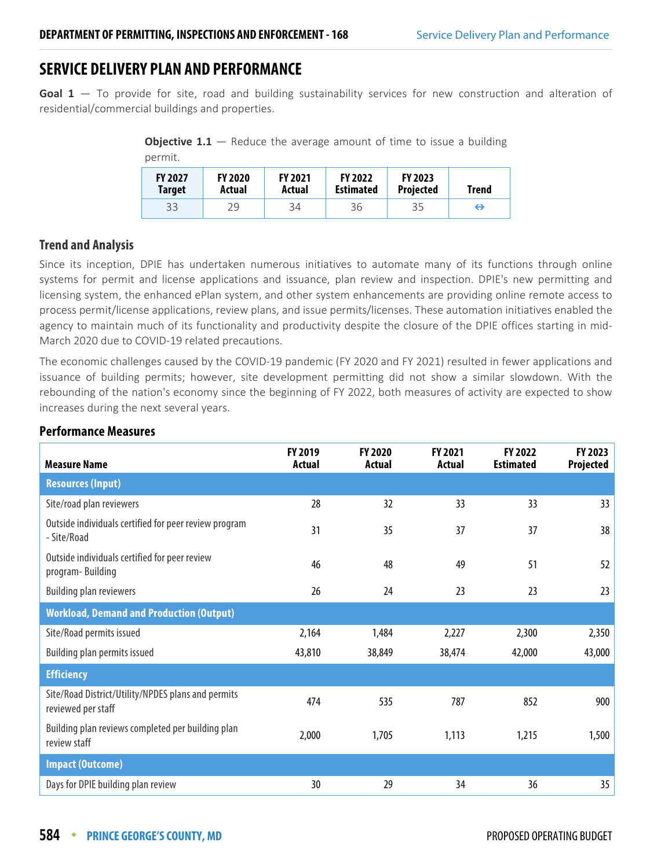# **SERVICE DELIVERY PLAN AND PERFORMANCE**

Goal 1 – To provide for site, road and building sustainability services for new construction and alteration of residential/commercial buildings and properties.

**Objective 1.1** – Reduce the average amount of time to issue a building permit.

| <b>FY 2027</b> | <b>FY 2020</b> | <b>FY 2021</b> | <b>FY 2022</b>   | <b>FY 2023</b>   | Trend |
|----------------|----------------|----------------|------------------|------------------|-------|
| <b>Target</b>  | Actual         | Actual         | <b>Estimated</b> | <b>Projected</b> |       |
| 33             | 29             | 34             | 36               | 35               | ⇔     |

## **Trend and Analysis**

Since its inception, DPIE has undertaken numerous initiatives to automate many of its functions through online systems for permit and license applications and issuance, plan review and inspection. DPIE's new permitting and licensing system, the enhanced ePlan system, and other system enhancements are providing online remote access to process permit/license applications, review plans, and issue permits/licenses. These automation initiatives enabled the agency to maintain much of its functionality and productivity despite the closure of the DPIE offices starting in mid-March 2020 due to COVID-19 related precautions.

The economic challenges caused by the COVID-19 pandemic (FY 2020 and FY 2021) resulted in fewer applications and issuance of building permits; however, site development permitting did not show a similar slowdown. With the rebounding of the nation's economy since the beginning of FY 2022, both measures of activity are expected to show increases during the next several years.

| <b>Measure Name</b>                                                      | FY 2019<br><b>Actual</b> | <b>FY 2020</b><br><b>Actual</b> | <b>FY 2021</b><br>Actual | FY 2022<br><b>Estimated</b> | FY 2023<br>Projected |
|--------------------------------------------------------------------------|--------------------------|---------------------------------|--------------------------|-----------------------------|----------------------|
| <b>Resources (Input)</b>                                                 |                          |                                 |                          |                             |                      |
| Site/road plan reviewers                                                 | 28                       | 32                              | 33                       | 33                          | 33                   |
| Outside individuals certified for peer review program<br>- Site/Road     | 31                       | 35                              | 37                       | 37                          | 38                   |
| Outside individuals certified for peer review<br>program-Building        | 46                       | 48                              | 49                       | 51                          | 52                   |
| <b>Building plan reviewers</b>                                           | 26                       | 24                              | 23                       | 23                          | 23                   |
| <b>Workload, Demand and Production (Output)</b>                          |                          |                                 |                          |                             |                      |
| Site/Road permits issued                                                 | 2,164                    | 1,484                           | 2,227                    | 2,300                       | 2,350                |
| Building plan permits issued                                             | 43,810                   | 38,849                          | 38,474                   | 42,000                      | 43,000               |
| <b>Efficiency</b>                                                        |                          |                                 |                          |                             |                      |
| Site/Road District/Utility/NPDES plans and permits<br>reviewed per staff | 474                      | 535                             | 787                      | 852                         | 900                  |
| Building plan reviews completed per building plan<br>review staff        | 2,000                    | 1,705                           | 1,113                    | 1,215                       | 1,500                |
| <b>Impact (Outcome)</b>                                                  |                          |                                 |                          |                             |                      |
| Days for DPIE building plan review                                       | 30                       | 29                              | 34                       | 36                          | 35                   |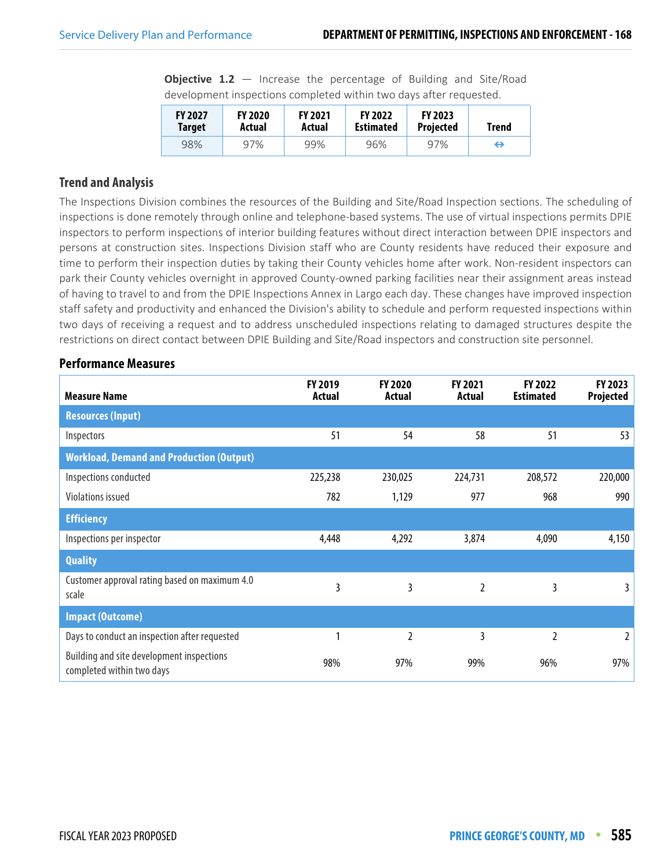|  |  | <b>Objective 1.2</b> $-$ Increase the percentage of Building and Site/Road |  |  |
|--|--|----------------------------------------------------------------------------|--|--|
|  |  | development inspections completed within two days after requested.         |  |  |

| <b>FY 2027</b> | <b>FY 2020</b> | <b>FY 2021</b> | <b>FY 2022</b>   | <b>FY 2023</b>   | Trend |
|----------------|----------------|----------------|------------------|------------------|-------|
| Target         | Actual         | Actual         | <b>Estimated</b> | <b>Projected</b> |       |
| 98%            | 97%            | 99%            | 96%              | 97%              | ⇔     |

## **Trend and Analysis**

The Inspections Division combines the resources of the Building and Site/Road Inspection sections. The scheduling of inspections is done remotely through online and telephone-based systems. The use of virtual inspections permits DPIE inspectors to perform inspections of interior building features without direct interaction between DPIE inspectors and persons at construction sites. Inspections Division staff who are County residents have reduced their exposure and time to perform their inspection duties by taking their County vehicles home after work. Non-resident inspectors can park their County vehicles overnight in approved County-owned parking facilities near their assignment areas instead of having to travel to and from the DPIE Inspections Annex in Largo each day. These changes have improved inspection staff safety and productivity and enhanced the Division's ability to schedule and perform requested inspections within two days of receiving a request and to address unscheduled inspections relating to damaged structures despite the restrictions on direct contact between DPIE Building and Site/Road inspectors and construction site personnel.

| <b>Measure Name</b>                                                    | FY 2019<br>Actual | FY 2020<br><b>Actual</b> | FY 2021<br>Actual | FY 2022<br><b>Estimated</b> | FY 2023<br>Projected |
|------------------------------------------------------------------------|-------------------|--------------------------|-------------------|-----------------------------|----------------------|
| <b>Resources (Input)</b>                                               |                   |                          |                   |                             |                      |
| Inspectors                                                             | 51                | 54                       | 58                | 51                          | 53                   |
| <b>Workload, Demand and Production (Output)</b>                        |                   |                          |                   |                             |                      |
| Inspections conducted                                                  | 225,238           | 230,025                  | 224,731           | 208,572                     | 220,000              |
| Violations issued                                                      | 782               | 1,129                    | 977               | 968                         | 990                  |
| <b>Efficiency</b>                                                      |                   |                          |                   |                             |                      |
| Inspections per inspector                                              | 4,448             | 4,292                    | 3,874             | 4,090                       | 4,150                |
| <b>Quality</b>                                                         |                   |                          |                   |                             |                      |
| Customer approval rating based on maximum 4.0<br>scale                 | 3                 | 3                        | 2                 | 3                           | 3                    |
| <b>Impact (Outcome)</b>                                                |                   |                          |                   |                             |                      |
| Days to conduct an inspection after requested                          |                   | 2                        | 3                 | $\overline{2}$              | 2                    |
| Building and site development inspections<br>completed within two days | 98%               | 97%                      | 99%               | 96%                         | 97%                  |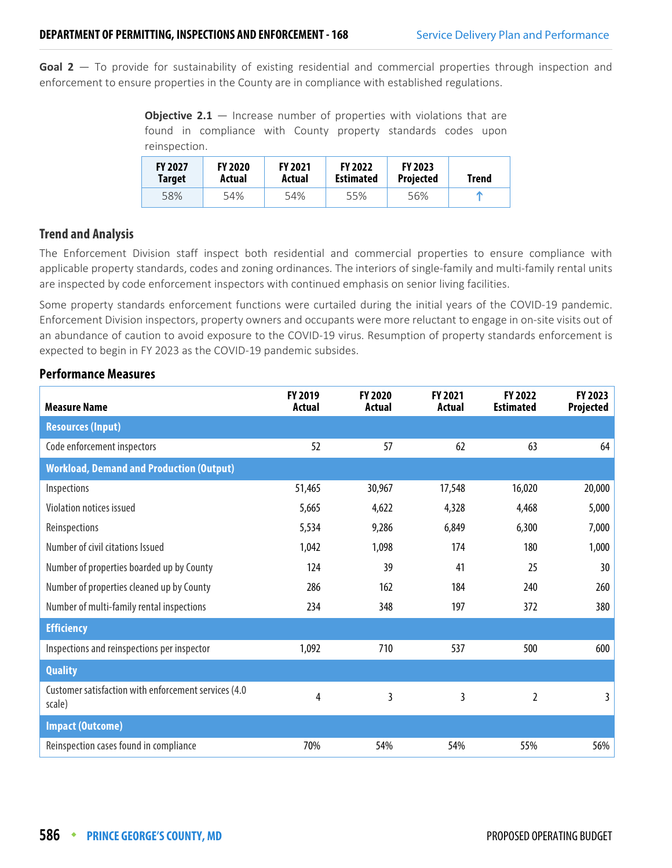**Goal 2** — To provide for sustainability of existing residential and commercial properties through inspection and enforcement to ensure properties in the County are in compliance with established regulations.

**Objective 2.1** – Increase number of properties with violations that are found in compliance with County property standards codes upon reinspection.

| <b>FY 2027</b><br>Target | <b>FY 2020</b><br>Actual | <b>FY 2021</b><br>Actual | <b>FY 2022</b><br><b>Estimated</b> | <b>FY 2023</b><br><b>Projected</b> | <b>Trend</b> |  |
|--------------------------|--------------------------|--------------------------|------------------------------------|------------------------------------|--------------|--|
| 58%                      | 54%                      | 54%                      | 55%                                | 56%                                |              |  |

#### **Trend and Analysis**

The Enforcement Division staff inspect both residential and commercial properties to ensure compliance with applicable property standards, codes and zoning ordinances. The interiors of single-family and multi-family rental units are inspected by code enforcement inspectors with continued emphasis on senior living facilities.

Some property standards enforcement functions were curtailed during the initial years of the COVID-19 pandemic. Enforcement Division inspectors, property owners and occupants were more reluctant to engage in on-site visits out of an abundance of caution to avoid exposure to the COVID-19 virus. Resumption of property standards enforcement is expected to begin in FY 2023 as the COVID-19 pandemic subsides.

| <b>Measure Name</b>                                            | FY 2019<br>Actual | FY 2020<br>Actual | <b>FY 2021</b><br>Actual | FY 2022<br><b>Estimated</b> | FY 2023<br>Projected |
|----------------------------------------------------------------|-------------------|-------------------|--------------------------|-----------------------------|----------------------|
| <b>Resources (Input)</b>                                       |                   |                   |                          |                             |                      |
| Code enforcement inspectors                                    | 52                | 57                | 62                       | 63                          | 64                   |
| <b>Workload, Demand and Production (Output)</b>                |                   |                   |                          |                             |                      |
| Inspections                                                    | 51,465            | 30,967            | 17,548                   | 16,020                      | 20,000               |
| Violation notices issued                                       | 5,665             | 4,622             | 4,328                    | 4,468                       | 5,000                |
| Reinspections                                                  | 5,534             | 9,286             | 6,849                    | 6,300                       | 7,000                |
| Number of civil citations Issued                               | 1,042             | 1,098             | 174                      | 180                         | 1,000                |
| Number of properties boarded up by County                      | 124               | 39                | 41                       | 25                          | 30                   |
| Number of properties cleaned up by County                      | 286               | 162               | 184                      | 240                         | 260                  |
| Number of multi-family rental inspections                      | 234               | 348               | 197                      | 372                         | 380                  |
| <b>Efficiency</b>                                              |                   |                   |                          |                             |                      |
| Inspections and reinspections per inspector                    | 1,092             | 710               | 537                      | 500                         | 600                  |
| <b>Quality</b>                                                 |                   |                   |                          |                             |                      |
| Customer satisfaction with enforcement services (4.0<br>scale) | 4                 | 3                 | 3                        | 2                           | 3                    |
| <b>Impact (Outcome)</b>                                        |                   |                   |                          |                             |                      |
| Reinspection cases found in compliance                         | 70%               | 54%               | 54%                      | 55%                         | 56%                  |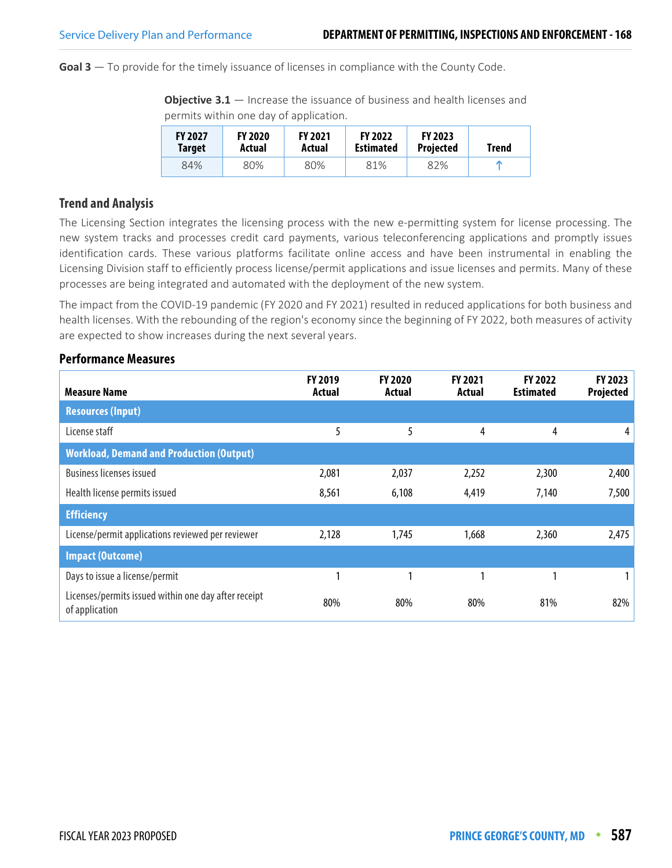**Goal 3** — To provide for the timely issuance of licenses in compliance with the County Code.

**Objective 3.1** — Increase the issuance of business and health licenses and permits within one day of application.

| <b>FY 2027</b><br>Target | <b>FY 2020</b><br>Actual | <b>FY 2021</b><br>Actual | <b>FY 2022</b><br><b>Estimated</b> | <b>FY 2023</b><br><b>Projected</b> | <b>Trend</b> |
|--------------------------|--------------------------|--------------------------|------------------------------------|------------------------------------|--------------|
| 84%                      | 80%                      | 80%                      | 81%                                | 82%                                |              |

#### **Trend and Analysis**

The Licensing Section integrates the licensing process with the new e-permitting system for license processing. The new system tracks and processes credit card payments, various teleconferencing applications and promptly issues identification cards. These various platforms facilitate online access and have been instrumental in enabling the Licensing Division staff to efficiently process license/permit applications and issue licenses and permits. Many of these processes are being integrated and automated with the deployment of the new system.

The impact from the COVID-19 pandemic (FY 2020 and FY 2021) resulted in reduced applications for both business and health licenses. With the rebounding of the region's economy since the beginning of FY 2022, both measures of activity are expected to show increases during the next several years.

| <b>Measure Name</b>                                                    | FY 2019<br>Actual | <b>FY 2020</b><br>Actual | <b>FY 2021</b><br>Actual | FY 2022<br><b>Estimated</b> | FY 2023<br>Projected |
|------------------------------------------------------------------------|-------------------|--------------------------|--------------------------|-----------------------------|----------------------|
| <b>Resources (Input)</b>                                               |                   |                          |                          |                             |                      |
| License staff                                                          | 5                 | 5                        | 4                        | 4                           | 4                    |
| <b>Workload, Demand and Production (Output)</b>                        |                   |                          |                          |                             |                      |
| <b>Business licenses issued</b>                                        | 2,081             | 2,037                    | 2,252                    | 2,300                       | 2,400                |
| Health license permits issued                                          | 8,561             | 6,108                    | 4,419                    | 7,140                       | 7,500                |
| <b>Efficiency</b>                                                      |                   |                          |                          |                             |                      |
| License/permit applications reviewed per reviewer                      | 2,128             | 1,745                    | 1,668                    | 2,360                       | 2,475                |
| <b>Impact (Outcome)</b>                                                |                   |                          |                          |                             |                      |
| Days to issue a license/permit                                         | 1                 | 1                        | 1                        | ٠                           |                      |
| Licenses/permits issued within one day after receipt<br>of application | 80%               | 80%                      | 80%                      | 81%                         | 82%                  |